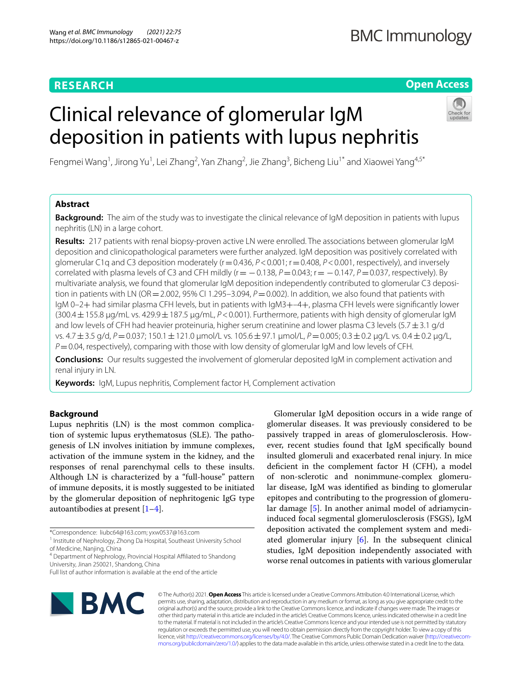# **RESEARCH**

# **Open Access**

# Clinical relevance of glomerular IgM deposition in patients with lupus nephritis



Fengmei Wang<sup>1</sup>, Jirong Yu<sup>1</sup>, Lei Zhang<sup>2</sup>, Yan Zhang<sup>2</sup>, Jie Zhang<sup>3</sup>, Bicheng Liu<sup>1\*</sup> and Xiaowei Yang<sup>4,5\*</sup>

# **Abstract**

**Background:** The aim of the study was to investigate the clinical relevance of IgM deposition in patients with lupus nephritis (LN) in a large cohort.

**Results:** 217 patients with renal biopsy-proven active LN were enrolled. The associations between glomerular IgM deposition and clinicopathological parameters were further analyzed. IgM deposition was positively correlated with glomerular C1q and C3 deposition moderately ( $r=0.436$ ,  $P<0.001$ ;  $r=0.408$ ,  $P<0.001$ , respectively), and inversely correlated with plasma levels of C3 and CFH mildly (r= −0.138, *P*=0.043; r= −0.147, *P*=0.037, respectively). By multivariate analysis, we found that glomerular IgM deposition independently contributed to glomerular C3 deposition in patients with LN (OR = 2.002, 95% CI 1.295–3.094, *P* = 0.002). In addition, we also found that patients with IgM 0–2+ had similar plasma CFH levels, but in patients with IgM3+–4+, plasma CFH levels were signifcantly lower (300.4±155.8 μg/mL vs. 429.9±187.5 μg/mL, *P*<0.001). Furthermore, patients with high density of glomerular IgM and low levels of CFH had heavier proteinuria, higher serum creatinine and lower plasma C3 levels (5.7 $\pm$ 3.1 g/d vs. 4.7±3.5 g/d, *P*=0.037; 150.1±121.0 μmol/L vs. 105.6±97.1 μmol/L, *P*=0.005; 0.3±0.2 μg/L vs. 0.4±0.2 μg/L, *P*=0.04, respectively), comparing with those with low density of glomerular IgM and low levels of CFH.

**Conclusions:** Our results suggested the involvement of glomerular deposited IgM in complement activation and renal injury in LN.

**Keywords:** IgM, Lupus nephritis, Complement factor H, Complement activation

# **Background**

Lupus nephritis (LN) is the most common complication of systemic lupus erythematosus (SLE). The pathogenesis of LN involves initiation by immune complexes, activation of the immune system in the kidney, and the responses of renal parenchymal cells to these insults. Although LN is characterized by a "full-house" pattern of immune deposits, it is mostly suggested to be initiated by the glomerular deposition of nephritogenic IgG type autoantibodies at present  $[1-4]$  $[1-4]$ .

Glomerular IgM deposition occurs in a wide range of glomerular diseases. It was previously considered to be passively trapped in areas of glomerulosclerosis. However, recent studies found that IgM specifcally bound insulted glomeruli and exacerbated renal injury. In mice defcient in the complement factor H (CFH), a model of non-sclerotic and nonimmune-complex glomerular disease, IgM was identifed as binding to glomerular epitopes and contributing to the progression of glomerular damage [[5\]](#page-8-2). In another animal model of adriamycininduced focal segmental glomerulosclerosis (FSGS), IgM deposition activated the complement system and mediated glomerular injury  $[6]$  $[6]$ . In the subsequent clinical studies, IgM deposition independently associated with worse renal outcomes in patients with various glomerular



© The Author(s) 2021. **Open Access** This article is licensed under a Creative Commons Attribution 4.0 International License, which permits use, sharing, adaptation, distribution and reproduction in any medium or format, as long as you give appropriate credit to the original author(s) and the source, provide a link to the Creative Commons licence, and indicate if changes were made. The images or other third party material in this article are included in the article's Creative Commons licence, unless indicated otherwise in a credit line to the material. If material is not included in the article's Creative Commons licence and your intended use is not permitted by statutory regulation or exceeds the permitted use, you will need to obtain permission directly from the copyright holder. To view a copy of this licence, visit [http://creativecommons.org/licenses/by/4.0/.](http://creativecommons.org/licenses/by/4.0/) The Creative Commons Public Domain Dedication waiver ([http://creativecom](http://creativecommons.org/publicdomain/zero/1.0/)[mons.org/publicdomain/zero/1.0/\)](http://creativecommons.org/publicdomain/zero/1.0/) applies to the data made available in this article, unless otherwise stated in a credit line to the data.

<sup>\*</sup>Correspondence: liubc64@163.com; yxw0537@163.com

<sup>&</sup>lt;sup>1</sup> Institute of Nephrology, Zhong Da Hospital, Southeast University School of Medicine, Nanjing, China

<sup>&</sup>lt;sup>4</sup> Department of Nephrology, Provincial Hospital Affiliated to Shandong University, Jinan 250021, Shandong, China

Full list of author information is available at the end of the article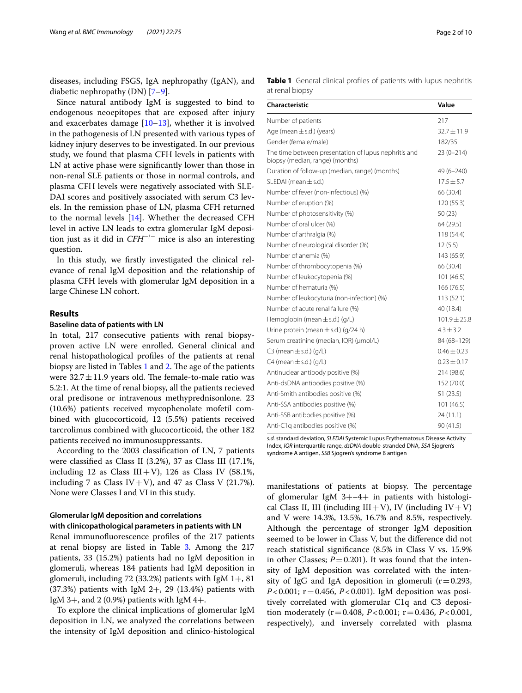diseases, including FSGS, IgA nephropathy (IgAN), and diabetic nephropathy (DN) [[7–](#page-8-4)[9](#page-8-5)].

Since natural antibody IgM is suggested to bind to endogenous neoepitopes that are exposed after injury and exacerbates damage  $[10-13]$  $[10-13]$  $[10-13]$ , whether it is involved in the pathogenesis of LN presented with various types of kidney injury deserves to be investigated. In our previous study, we found that plasma CFH levels in patients with LN at active phase were signifcantly lower than those in non-renal SLE patients or those in normal controls, and plasma CFH levels were negatively associated with SLE-DAI scores and positively associated with serum C3 levels. In the remission phase of LN, plasma CFH returned to the normal levels [\[14](#page-8-8)]. Whether the decreased CFH level in active LN leads to extra glomerular IgM deposition just as it did in *CFH*<sup>−</sup>/<sup>−</sup> mice is also an interesting question.

In this study, we frstly investigated the clinical relevance of renal IgM deposition and the relationship of plasma CFH levels with glomerular IgM deposition in a large Chinese LN cohort.

## **Results**

## **Baseline data of patients with LN**

In total, 217 consecutive patients with renal biopsyproven active LN were enrolled. General clinical and renal histopathological profles of the patients at renal biopsy are listed in Tables  $1$  and  $2$ . The age of the patients were  $32.7 \pm 11.9$  years old. The female-to-male ratio was 5.2:1. At the time of renal biopsy, all the patients recieved oral predisone or intravenous methyprednisonlone. 23 (10.6%) patients received mycophenolate mofetil combined with glucocorticoid, 12 (5.5%) patients received tarcrolimus combined with glucocorticoid, the other 182 patients received no immunosuppressants.

According to the 2003 classifcation of LN, 7 patients were classifed as Class II (3.2%), 37 as Class III (17.1%, including 12 as Class III+V), 126 as Class IV (58.1%, including 7 as Class IV + V), and 47 as Class V (21.7%). None were Classes I and VI in this study.

# **Glomerular IgM deposition and correlations**

# **with clinicopathological parameters in patients with LN**

Renal immunofuorescence profles of the 217 patients at renal biopsy are listed in Table [3](#page-2-1). Among the 217 patients, 33 (15.2%) patients had no IgM deposition in glomeruli, whereas 184 patients had IgM deposition in glomeruli, including 72 (33.2%) patients with IgM  $1+$ , 81  $(37.3%)$  patients with IgM 2+, 29  $(13.4%)$  patients with IgM 3+, and 2 (0.9%) patients with IgM 4+.

To explore the clinical implications of glomerular IgM deposition in LN, we analyzed the correlations between the intensity of IgM deposition and clinico-histological <span id="page-1-0"></span>**Table 1** General clinical profiles of patients with lupus nephritis at renal biopsy

| <b>Characteristic</b>                                                                   | Value            |
|-----------------------------------------------------------------------------------------|------------------|
| Number of patients                                                                      | 217              |
| Age (mean $\pm$ s.d.) (years)                                                           | $32.7 + 11.9$    |
| Gender (female/male)                                                                    | 182/35           |
| The time between presentation of lupus nephritis and<br>biopsy (median, range) (months) | $23(0-214)$      |
| Duration of follow-up (median, range) (months)                                          | 49 (6-240)       |
| SLEDAI (mean $\pm$ s.d.)                                                                | $17.5 \pm 5.7$   |
| Number of fever (non-infectious) (%)                                                    | 66 (30.4)        |
| Number of eruption (%)                                                                  | 120 (55.3)       |
| Number of photosensitivity (%)                                                          | 50(23)           |
| Number of oral ulcer (%)                                                                | 64 (29.5)        |
| Number of arthralgia (%)                                                                | 118 (54.4)       |
| Number of neurological disorder (%)                                                     | 12(5.5)          |
| Number of anemia (%)                                                                    | 143 (65.9)       |
| Number of thrombocytopenia (%)                                                          | 66 (30.4)        |
| Number of leukocytopenia (%)                                                            | 101 (46.5)       |
| Number of hematuria (%)                                                                 | 166 (76.5)       |
| Number of leukocyturia (non-infection) (%)                                              | 113 (52.1)       |
| Number of acute renal failure (%)                                                       | 40 (18.4)        |
| Hemoglobin (mean $\pm$ s.d.) (g/L)                                                      | $101.9 \pm 25.8$ |
| Urine protein (mean $\pm$ s.d.) (g/24 h)                                                | $4.3 \pm 3.2$    |
| Serum creatinine (median, IQR) (umol/L)                                                 | 84 (68-129)      |
| C3 (mean $\pm$ s.d.) (g/L)                                                              | $0.46 \pm 0.23$  |
| $C4$ (mean $\pm$ s.d.) (g/L)                                                            | $0.23 \pm 0.17$  |
| Antinuclear antibody positive (%)                                                       | 214 (98.6)       |
| Anti-dsDNA antibodies positive (%)                                                      | 152 (70.0)       |
| Anti-Smith antibodies positive (%)                                                      | 51(23.5)         |
| Anti-SSA antibodies positive (%)                                                        | 101 (46.5)       |
| Anti-SSB antibodies positive (%)                                                        | 24(11.1)         |
| Anti-C1q antibodies positive (%)                                                        | 90 (41.5)        |

*s.d.* standard deviation, *SLEDAI* Systemic Lupus Erythematosus Disease Activity Index, *IQR* interquartile range, *dsDNA* double-stranded DNA, *SSA* Sjogren's syndrome A antigen, *SSB* Sjogren's syndrome B antigen

manifestations of patients at biopsy. The percentage of glomerular IgM 3+–4+ in patients with histological Class II, III (including  $III + V$ ), IV (including  $IV + V$ ) and V were 14.3%, 13.5%, 16.7% and 8.5%, respectively. Although the percentage of stronger IgM deposition seemed to be lower in Class V, but the diference did not reach statistical signifcance (8.5% in Class V vs. 15.9% in other Classes;  $P = 0.201$ ). It was found that the intensity of IgM deposition was correlated with the intensity of IgG and IgA deposition in glomeruli  $(r=0.293,$ *P*<0.001; r=0.456, *P*<0.001). IgM deposition was positively correlated with glomerular C1q and C3 deposition moderately (r=0.408, *P*<0.001; r=0.436, *P*<0.001, respectively), and inversely correlated with plasma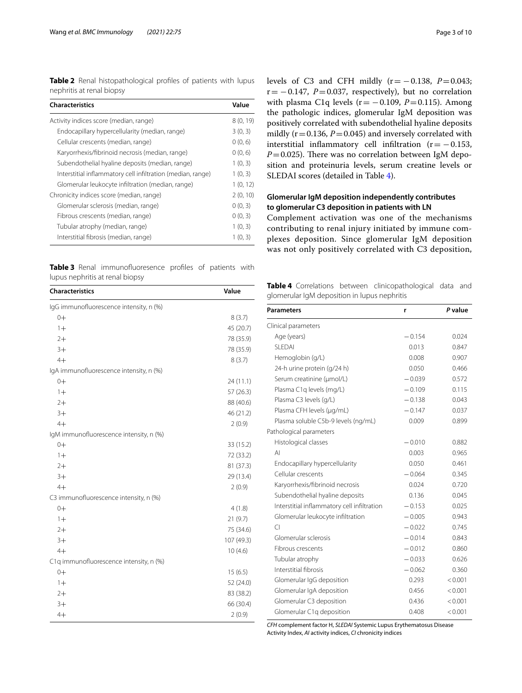<span id="page-2-0"></span>**Table 2** Renal histopathological profles of patients with lupus nephritis at renal biopsy

| <b>Characteristics</b>                                      | Value    |
|-------------------------------------------------------------|----------|
| Activity indices score (median, range)                      | 8(0, 19) |
| Endocapillary hypercellularity (median, range)              | 3(0, 3)  |
| Cellular crescents (median, range)                          | 0(0, 6)  |
| Karyorrhexis/fibrinoid necrosis (median, range)             | 0(0, 6)  |
| Subendothelial hyaline deposits (median, range)             | 1(0, 3)  |
| Interstitial inflammatory cell infiltration (median, range) | 1(0, 3)  |
| Glomerular leukocyte infiltration (median, range)           | 1(0, 12) |
| Chronicity indices score (median, range)                    | 2(0, 10) |
| Glomerular sclerosis (median, range)                        | 0(0, 3)  |
| Fibrous crescents (median, range)                           | 0(0, 3)  |
| Tubular atrophy (median, range)                             | 1(0, 3)  |
| Interstitial fibrosis (median, range)                       | 1(0, 3)  |

<span id="page-2-1"></span>**Table 3** Renal immunofuoresence profles of patients with lupus nephritis at renal biopsy

| <b>Characteristics</b>                  | Value      |  |
|-----------------------------------------|------------|--|
| IgG immunofluorescence intensity, n (%) |            |  |
| $0+$                                    | 8(3.7)     |  |
| $1+$                                    | 45 (20.7)  |  |
| $2+$                                    | 78 (35.9)  |  |
| $3+$                                    | 78 (35.9)  |  |
| $4+$                                    | 8(3.7)     |  |
| IgA immunofluorescence intensity, n (%) |            |  |
| $0+$                                    | 24 (11.1)  |  |
| $1+$                                    | 57(26.3)   |  |
| $2+$                                    | 88 (40.6)  |  |
| $3+$                                    | 46 (21.2)  |  |
| $4+$                                    | 2(0.9)     |  |
| IgM immunofluorescence intensity, n (%) |            |  |
| $0+$                                    | 33 (15.2)  |  |
| $1+$                                    | 72 (33.2)  |  |
| $2+$                                    | 81 (37.3)  |  |
| $3+$                                    | 29 (13.4)  |  |
| $4+$                                    | 2(0.9)     |  |
| C3 immunofluorescence intensity, n (%)  |            |  |
| $0+$                                    | 4(1.8)     |  |
| $1+$                                    | 21(9.7)    |  |
| $2+$                                    | 75 (34.6)  |  |
| $3+$                                    | 107 (49.3) |  |
| $4+$                                    | 10(4.6)    |  |
| C1q immunofluorescence intensity, n (%) |            |  |
| $0+$                                    | 15(6.5)    |  |
| $1+$                                    | 52 (24.0)  |  |
| $2+$                                    | 83 (38.2)  |  |
| $3+$                                    | 66 (30.4)  |  |
| $4+$                                    | 2(0.9)     |  |

levels of C3 and CFH mildly  $(r=-0.138, P=0.043;$  $r = -0.147$ ,  $P = 0.037$ , respectively), but no correlation with plasma C1q levels ( $r = -0.109$ ,  $P = 0.115$ ). Among the pathologic indices, glomerular IgM deposition was positively correlated with subendothelial hyaline deposits mildly  $(r=0.136, P=0.045)$  and inversely correlated with interstitial inflammatory cell infiltration  $(r=-0.153,$  $P=0.025$ ). There was no correlation between IgM deposition and proteinuria levels, serum creatine levels or SLEDAI scores (detailed in Table [4\)](#page-2-2).

# **Glomerular IgM deposition independently contributes to glomerular C3 deposition in patients with LN**

Complement activation was one of the mechanisms contributing to renal injury initiated by immune complexes deposition. Since glomerular IgM deposition was not only positively correlated with C3 deposition,

<span id="page-2-2"></span>**Table 4** Correlations between clinicopathological data and glomerular IgM deposition in lupus nephritis

| <b>Parameters</b>                           | r        | P value |
|---------------------------------------------|----------|---------|
| Clinical parameters                         |          |         |
| Age (years)                                 | $-0.154$ | 0.024   |
| SI FDAI                                     | 0.013    | 0.847   |
| Hemoglobin (g/L)                            | 0.008    | 0.907   |
| 24-h urine protein (g/24 h)                 | 0.050    | 0.466   |
| Serum creatinine (µmol/L)                   | $-0.039$ | 0.572   |
| Plasma C1q levels (mg/L)                    | $-0.109$ | 0.115   |
| Plasma C3 levels (g/L)                      | $-0.138$ | 0.043   |
| Plasma CFH levels (µg/mL)                   | $-0.147$ | 0.037   |
| Plasma soluble C5b-9 levels (ng/mL)         | 0.009    | 0.899   |
| Pathological parameters                     |          |         |
| Histological classes                        | $-0.010$ | 0.882   |
| $\mathsf{A}$                                | 0.003    | 0.965   |
| Endocapillary hypercellularity              | 0.050    | 0.461   |
| Cellular crescents                          | $-0.064$ | 0.345   |
| Karyorrhexis/fibrinoid necrosis             | 0.024    | 0.720   |
| Subendothelial hyaline deposits             | 0.136    | 0.045   |
| Interstitial inflammatory cell infiltration | $-0.153$ | 0.025   |
| Glomerular leukocyte infiltration           | $-0.005$ | 0.943   |
| CI                                          | $-0.022$ | 0.745   |
| Glomerular sclerosis                        | $-0.014$ | 0.843   |
| Fibrous crescents                           | $-0.012$ | 0.860   |
| Tubular atrophy                             | $-0.033$ | 0.626   |
| Interstitial fibrosis                       | $-0.062$ | 0.360   |
| Glomerular IgG deposition                   | 0.293    | < 0.001 |
| Glomerular IgA deposition                   | 0.456    | < 0.001 |
| Glomerular C3 deposition                    | 0.436    | < 0.001 |
| Glomerular C1q deposition                   | 0.408    | < 0.001 |

*CFH* complement factor H, *SLEDAI* Systemic Lupus Erythematosus Disease Activity Index, *AI* activity indices, *CI* chronicity indices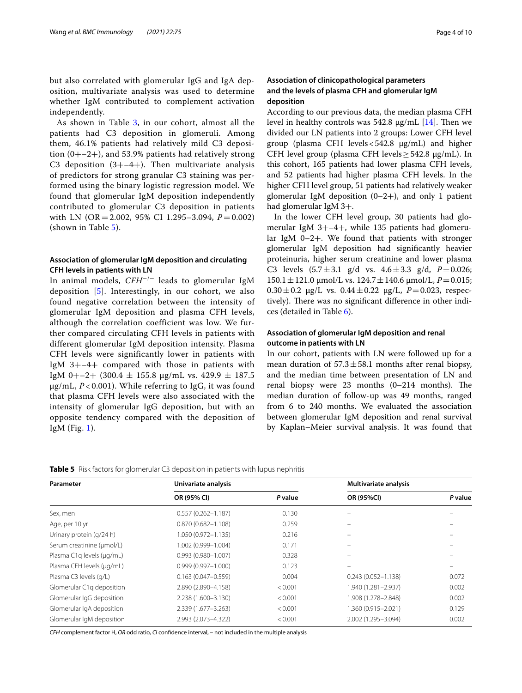but also correlated with glomerular IgG and IgA deposition, multivariate analysis was used to determine whether IgM contributed to complement activation independently.

As shown in Table [3,](#page-2-1) in our cohort, almost all the patients had C3 deposition in glomeruli. Among them, 46.1% patients had relatively mild C3 deposition  $(0+–2+)$ , and 53.9% patients had relatively strong C3 deposition  $(3+–4+)$ . Then multivariate analysis of predictors for strong granular C3 staining was performed using the binary logistic regression model. We found that glomerular IgM deposition independently contributed to glomerular C3 deposition in patients with LN (OR = 2.002, 95% CI 1.295–3.094,  $P = 0.002$ ) (shown in Table [5](#page-3-0)).

## **Association of glomerular IgM deposition and circulating CFH levels in patients with LN**

In animal models, *CFH*−/− leads to glomerular IgM deposition [\[5\]](#page-8-2). Interestingly, in our cohort, we also found negative correlation between the intensity of glomerular IgM deposition and plasma CFH levels, although the correlation coefficient was low. We further compared circulating CFH levels in patients with different glomerular IgM deposition intensity. Plasma CFH levels were significantly lower in patients with IgM 3+–4+ compared with those in patients with IgM 0+–2+ (300.4  $\pm$  155.8 µg/mL vs. 429.9  $\pm$  187.5 μg/mL, *P* < 0.001). While referring to IgG, it was found that plasma CFH levels were also associated with the intensity of glomerular IgG deposition, but with an opposite tendency compared with the deposition of IgM (Fig.  $1$ ).

# **Association of clinicopathological parameters and the levels of plasma CFH and glomerular IgM deposition**

According to our previous data, the median plasma CFH level in healthy controls was  $542.8 \mu g/mL$  [[14\]](#page-8-8). Then we divided our LN patients into 2 groups: Lower CFH level group (plasma CFH levels<542.8 μg/mL) and higher CFH level group (plasma CFH levels≥542.8 μg/mL). In this cohort, 165 patients had lower plasma CFH levels, and 52 patients had higher plasma CFH levels. In the higher CFH level group, 51 patients had relatively weaker glomerular IgM deposition  $(0-2+)$ , and only 1 patient had glomerular IgM 3+.

In the lower CFH level group, 30 patients had glomerular IgM 3+–4+, while 135 patients had glomerular IgM 0–2+. We found that patients with stronger glomerular IgM deposition had signifcantly heavier proteinuria, higher serum creatinine and lower plasma C3 levels  $(5.7 \pm 3.1 \text{ g/d} \text{ vs. } 4.6 \pm 3.3 \text{ g/d}, P = 0.026;$  $150.1 \pm 121.0$  μmol/L vs.  $124.7 \pm 140.6$  μmol/L,  $P = 0.015$ ;  $0.30 \pm 0.2$  μg/L vs.  $0.44 \pm 0.22$  μg/L,  $P = 0.023$ , respectively). There was no significant difference in other indices (detailed in Table [6](#page-5-0)).

# **Association of glomerular IgM deposition and renal outcome in patients with LN**

In our cohort, patients with LN were followed up for a mean duration of  $57.3 \pm 58.1$  months after renal biopsy, and the median time between presentation of LN and renal biopsy were  $23$  months  $(0-214$  months). The median duration of follow-up was 49 months, ranged from 6 to 240 months. We evaluated the association between glomerular IgM deposition and renal survival by Kaplan–Meier survival analysis. It was found that

<span id="page-3-0"></span>

|  | <b>Table 5</b> Risk factors for glomerular C3 deposition in patients with lupus nephritis |
|--|-------------------------------------------------------------------------------------------|
|--|-------------------------------------------------------------------------------------------|

| Parameter                 | Univariate analysis    |         | <b>Multivariate analysis</b> |         |
|---------------------------|------------------------|---------|------------------------------|---------|
|                           | OR (95% CI)            | P value | OR (95%CI)                   | P value |
| Sex, men                  | $0.557(0.262 - 1.187)$ | 0.130   |                              |         |
| Age, per 10 yr            | $0.870(0.682 - 1.108)$ | 0.259   |                              |         |
| Urinary protein (g/24 h)  | 1.050 (0.972-1.135)    | 0.216   |                              |         |
| Serum creatinine (µmol/L) | 1.002 (0.999-1.004)    | 0.171   |                              |         |
| Plasma C1q levels (µg/mL) | $0.993(0.980 - 1.007)$ | 0.328   |                              |         |
| Plasma CFH levels (µg/mL) | $0.999(0.997 - 1.000)$ | 0.123   |                              |         |
| Plasma C3 levels (g/L)    | $0.163(0.047 - 0.559)$ | 0.004   | $0.243(0.052 - 1.138)$       | 0.072   |
| Glomerular C1q deposition | 2.890 (2.890-4.158)    | < 0.001 | 1.940 (1.281-2.937)          | 0.002   |
| Glomerular IgG deposition | 2.238 (1.600-3.130)    | < 0.001 | 1.908 (1.278-2.848)          | 0.002   |
| Glomerular IgA deposition | 2.339 (1.677-3.263)    | < 0.001 | 1.360 (0.915-2.021)          | 0.129   |
| Glomerular IgM deposition | 2.993 (2.073-4.322)    | < 0.001 | 2.002 (1.295-3.094)          | 0.002   |

*CFH* complement factor H, *OR* odd ratio, *CI* confdence interval, *–* not included in the multiple analysis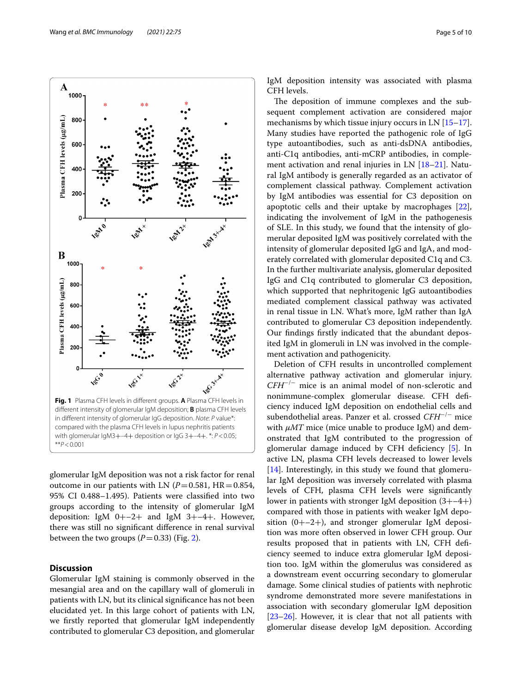A 1000

800

IgM deposition intensity was associated with plasma CFH levels.

The deposition of immune complexes and the subsequent complement activation are considered major mechanisms by which tissue injury occurs in LN [[15](#page-9-0)[–17](#page-9-1)]. Many studies have reported the pathogenic role of IgG type autoantibodies, such as anti-dsDNA antibodies, anti-C1q antibodies, anti-mCRP antibodies, in comple-ment activation and renal injuries in LN [\[18](#page-9-2)[–21\]](#page-9-3). Natural IgM antibody is generally regarded as an activator of complement classical pathway. Complement activation by IgM antibodies was essential for C3 deposition on apoptotic cells and their uptake by macrophages [\[22](#page-9-4)], indicating the involvement of IgM in the pathogenesis of SLE. In this study, we found that the intensity of glomerular deposited IgM was positively correlated with the intensity of glomerular deposited IgG and IgA, and moderately correlated with glomerular deposited C1q and C3. In the further multivariate analysis, glomerular deposited IgG and C1q contributed to glomerular C3 deposition, which supported that nephritogenic IgG autoantibodies mediated complement classical pathway was activated in renal tissue in LN. What's more, IgM rather than IgA contributed to glomerular C3 deposition independently. Our fndings frstly indicated that the abundant deposited IgM in glomeruli in LN was involved in the complement activation and pathogenicity.

Deletion of CFH results in uncontrolled complement alternative pathway activation and glomerular injury. *CFH*−/− mice is an animal model of non-sclerotic and nonimmune-complex glomerular disease. CFH defciency induced IgM deposition on endothelial cells and subendothelial areas. Panzer et al. crossed *CFH*−/− mice with  $\mu MT$  mice (mice unable to produce IgM) and demonstrated that IgM contributed to the progression of glomerular damage induced by CFH deficiency [\[5\]](#page-8-2). In active LN, plasma CFH levels decreased to lower levels [[14\]](#page-8-8). Interestingly, in this study we found that glomerular IgM deposition was inversely correlated with plasma levels of CFH, plasma CFH levels were signifcantly lower in patients with stronger IgM deposition (3+–4+) compared with those in patients with weaker IgM deposition  $(0+–2+)$ , and stronger glomerular IgM deposition was more often observed in lower CFH group. Our results proposed that in patients with LN, CFH defciency seemed to induce extra glomerular IgM deposition too. IgM within the glomerulus was considered as a downstream event occurring secondary to glomerular damage. Some clinical studies of patients with nephrotic syndrome demonstrated more severe manifestations in association with secondary glomerular IgM deposition [[23–](#page-9-5)[26\]](#page-9-6). However, it is clear that not all patients with glomerular disease develop IgM deposition. According

<span id="page-4-0"></span>compared with the plasma CFH levels in lupus nephritis patients with glomerular IgM3+–4+ deposition or IgG 3+–4+. \*: *P*<0.05; \*\**P*<0.001

glomerular IgM deposition was not a risk factor for renal outcome in our patients with LN  $(P=0.581, HR=0.854,$ 95% CI 0.488–1.495). Patients were classifed into two groups according to the intensity of glomerular IgM deposition: IgM  $0+-2+$  and IgM  $3+-4+$ . However, there was still no signifcant diference in renal survival between the two groups  $(P=0.33)$  (Fig. [2](#page-6-0)).

# **Discussion**

Glomerular IgM staining is commonly observed in the mesangial area and on the capillary wall of glomeruli in patients with LN, but its clinical signifcance has not been elucidated yet. In this large cohort of patients with LN, we frstly reported that glomerular IgM independently contributed to glomerular C3 deposition, and glomerular

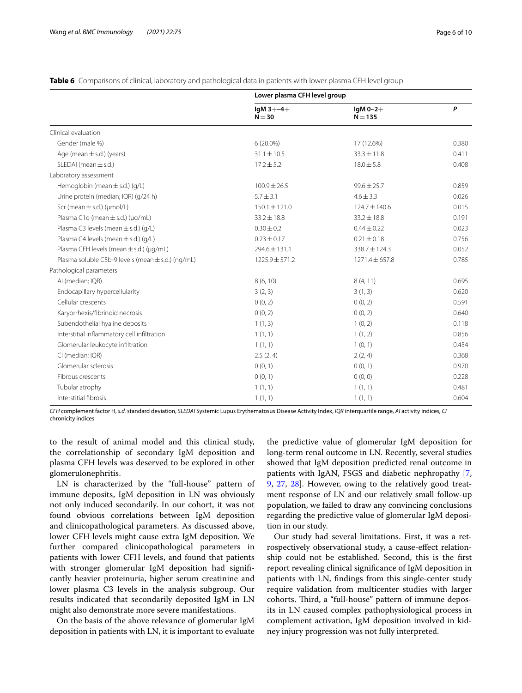|                                                   | Lower plasma CFH level group |                         |       |
|---------------------------------------------------|------------------------------|-------------------------|-------|
|                                                   | $IqM3 + -4 +$<br>$N = 30$    | $lgM 0-2+$<br>$N = 135$ | P     |
| Clinical evaluation                               |                              |                         |       |
| Gender (male %)                                   | $6(20.0\%)$                  | 17 (12.6%)              | 0.380 |
| Age (mean $\pm$ s.d.) (years)                     | $31.1 \pm 10.5$              | $33.3 \pm 11.8$         | 0.411 |
| SLEDAI (mean $\pm$ s.d.)                          | $17.2 \pm 5.2$               | $18.0 \pm 5.8$          | 0.408 |
| Laboratory assessment                             |                              |                         |       |
| Hemoglobin (mean $\pm$ s.d.) (g/L)                | $100.9 \pm 26.5$             | $99.6 \pm 25.7$         | 0.859 |
| Urine protein (median; IQR) (g/24 h)              | $5.7 \pm 3.1$                | $4.6 \pm 3.3$           | 0.026 |
| Scr (mean $\pm$ s.d.) ( $\mu$ mol/L)              | $150.1 \pm 121.0$            | 124.7 ± 140.6           | 0.015 |
| Plasma C1q (mean $\pm$ s.d.) ( $\mu$ g/mL)        | $33.2 \pm 18.8$              | $33.2 \pm 18.8$         | 0.191 |
| Plasma C3 levels (mean $\pm$ s.d.) (g/L)          | $0.30 \pm 0.2$               | $0.44 \pm 0.22$         | 0.023 |
| Plasma C4 levels (mean ± s.d.) (g/L)              | $0.23 \pm 0.17$              | $0.21 \pm 0.18$         | 0.756 |
| Plasma CFH levels (mean $\pm$ s.d.) (µg/mL)       | $294.6 \pm 131.1$            | 338.7±124.3             | 0.052 |
| Plasma soluble C5b-9 levels (mean ± s.d.) (ng/mL) | $1225.9 \pm 571.2$           | $1271.4 \pm 657.8$      | 0.785 |
| Pathological parameters                           |                              |                         |       |
| AI (median; IQR)                                  | 8(6, 10)                     | 8(4, 11)                | 0.695 |
| Endocapillary hypercellularity                    | 3(2, 3)                      | 3(1, 3)                 | 0.620 |
| Cellular crescents                                | 0(0, 2)                      | 0(0, 2)                 | 0.591 |
| Karyorrhexis/fibrinoid necrosis                   | 0(0, 2)                      | 0(0, 2)                 | 0.640 |
| Subendothelial hyaline deposits                   | 1(1, 3)                      | 1(0, 2)                 | 0.118 |
| Interstitial inflammatory cell infiltration       | 1(1, 1)                      | 1(1, 2)                 | 0.856 |
| Glomerular leukocyte infiltration                 | 1(1, 1)                      | 1(0, 1)                 | 0.454 |
| CI (median; IQR)                                  | 2.5(2, 4)                    | 2(2, 4)                 | 0.368 |
| Glomerular sclerosis                              | 0(0, 1)                      | 0(0, 1)                 | 0.970 |
| Fibrous crescents                                 | 0(0, 1)                      | 0(0, 0)                 | 0.228 |
| Tubular atrophy                                   | 1(1, 1)                      | 1(1, 1)                 | 0.481 |
| Interstitial fibrosis                             | 1(1, 1)                      | 1(1, 1)                 | 0.604 |

#### <span id="page-5-0"></span>**Table 6** Comparisons of clinical, laboratory and pathological data in patients with lower plasma CFH level group

*CFH* complement factor H, *s.d.* standard deviation, *SLEDAI* Systemic Lupus Erythematosus Disease Activity Index, *IQR* interquartile range, *AI* activity indices, *CI* chronicity indices

to the result of animal model and this clinical study, the correlationship of secondary IgM deposition and plasma CFH levels was deserved to be explored in other glomerulonephritis.

LN is characterized by the "full-house" pattern of immune deposits, IgM deposition in LN was obviously not only induced secondarily. In our cohort, it was not found obvious correlations between IgM deposition and clinicopathological parameters. As discussed above, lower CFH levels might cause extra IgM deposition. We further compared clinicopathological parameters in patients with lower CFH levels, and found that patients with stronger glomerular IgM deposition had signifcantly heavier proteinuria, higher serum creatinine and lower plasma C3 levels in the analysis subgroup. Our results indicated that secondarily deposited IgM in LN might also demonstrate more severe manifestations.

On the basis of the above relevance of glomerular IgM deposition in patients with LN, it is important to evaluate the predictive value of glomerular IgM deposition for long-term renal outcome in LN. Recently, several studies showed that IgM deposition predicted renal outcome in patients with IgAN, FSGS and diabetic nephropathy [\[7](#page-8-4), [9,](#page-8-5) [27,](#page-9-7) [28](#page-9-8)]. However, owing to the relatively good treatment response of LN and our relatively small follow-up population, we failed to draw any convincing conclusions regarding the predictive value of glomerular IgM deposition in our study.

Our study had several limitations. First, it was a retrospectively observational study, a cause-efect relationship could not be established. Second, this is the frst report revealing clinical signifcance of IgM deposition in patients with LN, fndings from this single-center study require validation from multicenter studies with larger cohorts. Third, a "full-house" pattern of immune deposits in LN caused complex pathophysiological process in complement activation, IgM deposition involved in kidney injury progression was not fully interpreted.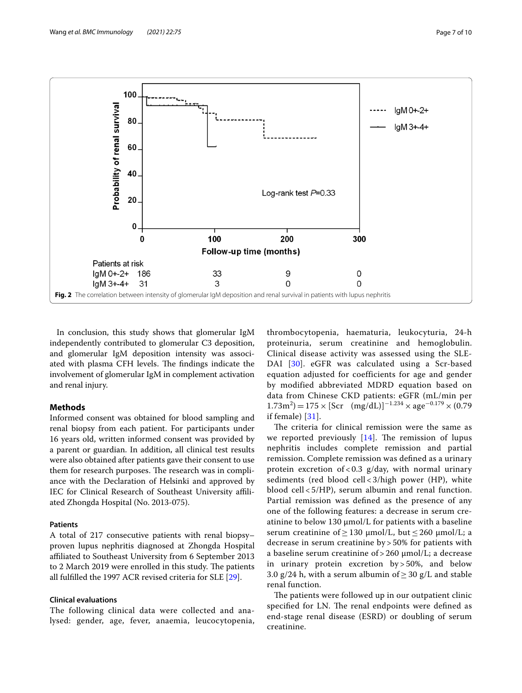

<span id="page-6-0"></span>In conclusion, this study shows that glomerular IgM independently contributed to glomerular C3 deposition, and glomerular IgM deposition intensity was associated with plasma CFH levels. The findings indicate the involvement of glomerular IgM in complement activation and renal injury.

## **Methods**

Informed consent was obtained for blood sampling and renal biopsy from each patient. For participants under 16 years old, written informed consent was provided by a parent or guardian. In addition, all clinical test results were also obtained after patients gave their consent to use them for research purposes. The research was in compliance with the Declaration of Helsinki and approved by IEC for Clinical Research of Southeast University afliated Zhongda Hospital (No. 2013-075).

## **Patients**

A total of 217 consecutive patients with renal biopsy– proven lupus nephritis diagnosed at Zhongda Hospital afliated to Southeast University from 6 September 2013 to 2 March 2019 were enrolled in this study. The patients all fulflled the 1997 ACR revised criteria for SLE [[29\]](#page-9-9).

## **Clinical evaluations**

The following clinical data were collected and analysed: gender, age, fever, anaemia, leucocytopenia,

thrombocytopenia, haematuria, leukocyturia, 24-h proteinuria, serum creatinine and hemoglobulin. Clinical disease activity was assessed using the SLE-DAI [\[30\]](#page-9-10). eGFR was calculated using a Scr-based equation adjusted for coefficients for age and gender by modified abbreviated MDRD equation based on data from Chinese CKD patients: eGFR (mL/min per  $(1.73 \text{m}^2) = 175 \times \text{[Scr (mg/dL)]}^{-1.234} \times \text{age}^{-0.179} \times (0.79)$ if female) [[31\]](#page-9-11).

The criteria for clinical remission were the same as we reported previously  $[14]$  $[14]$  $[14]$ . The remission of lupus nephritis includes complete remission and partial remission. Complete remission was defned as a urinary protein excretion of < 0.3  $g/day$ , with normal urinary sediments (red blood cell < 3/high power (HP), white blood cell < 5/HP), serum albumin and renal function. Partial remission was defned as the presence of any one of the following features: a decrease in serum creatinine to below 130 μmol/L for patients with a baseline serum creatinine of  $\geq$  130  $\mu$ mol/L, but  $\leq$  260  $\mu$ mol/L; a decrease in serum creatinine by > 50% for patients with a baseline serum creatinine of > 260 μmol/L; a decrease in urinary protein excretion by > 50%, and below 3.0 g/24 h, with a serum albumin of  $\geq$  30 g/L and stable renal function.

The patients were followed up in our outpatient clinic specified for LN. The renal endpoints were defined as end-stage renal disease (ESRD) or doubling of serum creatinine.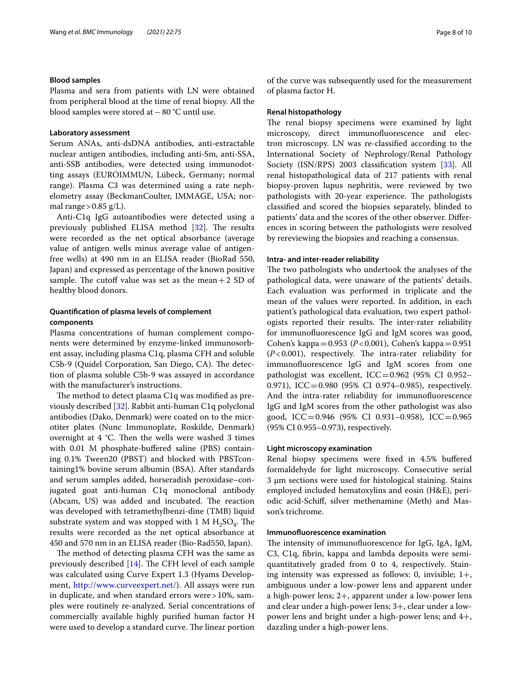#### **Blood samples**

Plasma and sera from patients with LN were obtained from peripheral blood at the time of renal biopsy. All the blood samples were stored at−80 °C until use.

## **Laboratory assessment**

Serum ANAs, anti-dsDNA antibodies, anti-extractable nuclear antigen antibodies, including anti-Sm, anti-SSA, anti-SSB antibodies, were detected using immunodotting assays (EUROIMMUN, Lübeck, Germany; normal range). Plasma C3 was determined using a rate nephelometry assay (BeckmanCoulter, IMMAGE, USA; normal range  $> 0.85$  g/L).

Anti-C1q IgG autoantibodies were detected using a previously published ELISA method  $[32]$ . The results were recorded as the net optical absorbance (average value of antigen wells minus average value of antigenfree wells) at 490 nm in an ELISA reader (BioRad 550, Japan) and expressed as percentage of the known positive sample. The cutoff value was set as the mean  $+2$  SD of healthy blood donors.

## **Quantifcation of plasma levels of complement components**

Plasma concentrations of human complement components were determined by enzyme-linked immunosorbent assay, including plasma C1q, plasma CFH and soluble C5b-9 (Quidel Corporation, San Diego, CA). The detection of plasma soluble C5b-9 was assayed in accordance with the manufacturer's instructions.

The method to detect plasma C1q was modified as previously described [[32](#page-9-12)]. Rabbit anti-human C1q polyclonal antibodies (Dako, Denmark) were coated on to the microtiter plates (Nunc Immunoplate, Roskilde, Denmark) overnight at  $4 \text{ }^{\circ}$ C. Then the wells were washed 3 times with 0.01 M phosphate-buffered saline (PBS) containing 0.1% Tween20 (PBST) and blocked with PBSTcontaining1% bovine serum albumin (BSA). After standards and serum samples added, horseradish peroxidase–conjugated goat anti-human C1q monoclonal antibody (Abcam, US) was added and incubated. The reaction was developed with tetramethylbenzi-dine (TMB) liquid substrate system and was stopped with 1 M  $H_2SO_4$ . The results were recorded as the net optical absorbance at 450 and 570 nm in an ELISA reader (Bio-Rad550, Japan).

The method of detecting plasma CFH was the same as previously described  $[14]$  $[14]$ . The CFH level of each sample was calculated using Curve Expert 1.3 (Hyams Development, <http://www.curveexpert.net/>). All assays were run in duplicate, and when standard errors were > 10%, samples were routinely re-analyzed. Serial concentrations of commercially available highly purifed human factor H were used to develop a standard curve. The linear portion of the curve was subsequently used for the measurement of plasma factor H.

#### **Renal histopathology**

The renal biopsy specimens were examined by light microscopy, direct immunofuorescence and electron microscopy. LN was re-classifed according to the International Society of Nephrology/Renal Pathology Society (ISN/RPS) 2003 classifcation system [\[33\]](#page-9-13). All renal histopathological data of 217 patients with renal biopsy-proven lupus nephritis, were reviewed by two pathologists with 20-year experience. The pathologists classifed and scored the biopsies separately, blinded to patients' data and the scores of the other observer. Diferences in scoring between the pathologists were resolved by rereviewing the biopsies and reaching a consensus.

## **Intra‑ and inter‑reader reliability**

The two pathologists who undertook the analyses of the pathological data, were unaware of the patients' details. Each evaluation was performed in triplicate and the mean of the values were reported. In addition, in each patient's pathological data evaluation, two expert pathologists reported their results. The inter-rater reliability for immunofuorescence IgG and IgM scores was good, Cohen's kappa=0.953 (*P*<0.001), Cohen's kappa=0.951  $(P<0.001)$ , respectively. The intra-rater reliability for immunofuorescence IgG and IgM scores from one pathologist was excellent,  $ICC=0.962$  (95% CI 0.952– 0.971), ICC=0.980 (95% CI 0.974-0.985), respectively. And the intra-rater reliability for immunofuorescence IgG and IgM scores from the other pathologist was also good, ICC=0.946 (95% CI 0.931–0.958), ICC=0.965 (95% CI 0.955–0.973), respectively.

## **Light microscopy examination**

Renal biopsy specimens were fxed in 4.5% bufered formaldehyde for light microscopy. Consecutive serial 3 µm sections were used for histological staining. Stains employed included hematoxylins and eosin (H&E), periodic acid-Schif, silver methenamine (Meth) and Masson's trichrome.

#### **Immunofuorescence examination**

The intensity of immunofluorescence for IgG, IgA, IgM, C3, C1q, fbrin, kappa and lambda deposits were semiquantitatively graded from 0 to 4, respectively. Staining intensity was expressed as follows: 0, invisible;  $1+$ , ambiguous under a low-power lens and apparent under a high-power lens; 2+, apparent under a low-power lens and clear under a high-power lens; 3+, clear under a lowpower lens and bright under a high-power lens; and 4+, dazzling under a high-power lens.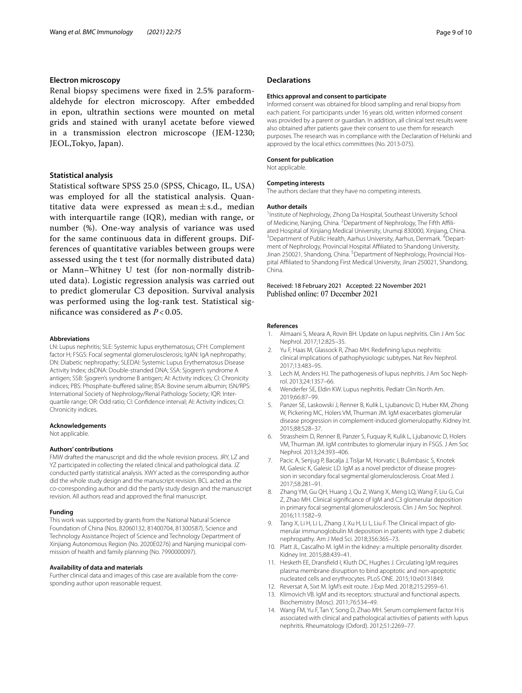#### **Electron microscopy**

Renal biopsy specimens were fxed in 2.5% paraformaldehyde for electron microscopy. After embedded in epon, ultrathin sections were mounted on metal grids and stained with uranyl acetate before viewed in a transmission electron microscope (JEM-1230; JEOL,Tokyo, Japan).

## **Statistical analysis**

Statistical software SPSS 25.0 (SPSS, Chicago, IL, USA) was employed for all the statistical analysis. Quantitative data were expressed as mean $\pm$ s.d., median with interquartile range (IQR), median with range, or number (%). One-way analysis of variance was used for the same continuous data in diferent groups. Differences of quantitative variables between groups were assessed using the t test (for normally distributed data) or Mann–Whitney U test (for non-normally distributed data). Logistic regression analysis was carried out to predict glomerular C3 deposition. Survival analysis was performed using the log-rank test. Statistical signifcance was considered as *P* < 0.05.

#### **Abbreviations**

LN: Lupus nephritis; SLE: Systemic lupus erythematosus; CFH: Complement factor H; FSGS: Focal segmental glomerulosclerosis; IgAN: IgA nephropathy; DN: Diabetic nephropathy; SLEDAI: Systemic Lupus Erythematosus Disease Activity Index; dsDNA: Double-stranded DNA; SSA: Sjogren's syndrome A antigen; SSB: Sjogren's syndrome B antigen; AI: Activity indices; CI: Chronicity indices; PBS: Phosphate-buffered saline; BSA: Bovine serum albumin; ISN/RPS: International Society of Nephrology/Renal Pathology Society; IQR: Interquartile range; OR: Odd ratio; CI: Confdence interval; AI: Activity indices; CI: Chronicity indices.

#### **Acknowledgements**

Not applicable.

#### **Authors' contributions**

FMW drafted the manuscript and did the whole revision process. JRY, LZ and YZ participated in collecting the related clinical and pathological data. JZ conducted partly statistical analysis. XWY acted as the corresponding author did the whole study design and the manuscript revision. BCL acted as the co-corresponding author and did the partly study design and the manuscript revision. All authors read and approved the fnal manuscript.

#### **Funding**

This work was supported by grants from the National Natural Science Foundation of China (Nos. 82060132, 81400704, 81300587), Science and Technology Assistance Project of Science and Technology Department of Xinjiang Autonomous Region (No. 2020E0276) and Nanjing municipal commission of health and family planning (No. 7990000097).

#### **Availability of data and materials**

Further clinical data and images of this case are available from the corresponding author upon reasonable request.

#### **Declarations**

#### **Ethics approval and consent to participate**

Informed consent was obtained for blood sampling and renal biopsy from each patient. For participants under 16 years old, written informed consent was provided by a parent or guardian. In addition, all clinical test results were also obtained after patients gave their consent to use them for research purposes. The research was in compliance with the Declaration of Helsinki and approved by the local ethics committees (No. 2013-075).

#### **Consent for publication**

Not applicable.

#### **Competing interests**

The authors declare that they have no competing interests.

#### **Author details**

<sup>1</sup> Institute of Nephrology, Zhong Da Hospital, Southeast University School of Medicine, Nanjing, China. <sup>2</sup> Department of Nephrology, The Fifth Affiliated Hospital of Xinjiang Medical University, Urumqi 830000, Xinjiang, China. 3 Department of Public Health, Aarhus University, Aarhus, Denmark. <sup>4</sup> Department of Nephrology, Provincial Hospital Affiliated to Shandong University, Jinan 250021, Shandong, China. <sup>5</sup> Department of Nephrology, Provincial Hospital Afliated to Shandong First Medical University, Jinan 250021, Shandong, China.

Received: 18 February 2021 Accepted: 22 November 2021 Published online: 07 December 2021

## **References**

- <span id="page-8-0"></span>Almaani S, Meara A, Rovin BH. Update on lupus nephritis. Clin J Am Soc Nephrol. 2017;12:825–35.
- 2. Yu F, Haas M, Glassock R, Zhao MH. Redefning lupus nephritis: clinical implications of pathophysiologic subtypes. Nat Rev Nephrol. 2017;13:483–95.
- 3. Lech M, Anders HJ. The pathogenesis of lupus nephritis. J Am Soc Nephrol. 2013;24:1357–66.
- <span id="page-8-1"></span>4. Wenderfer SE, Eldin KW. Lupus nephritis. Pediatr Clin North Am. 2019;66:87–99.
- <span id="page-8-2"></span>5. Panzer SE, Laskowski J, Renner B, Kulik L, Ljubanovic D, Huber KM, Zhong W, Pickering MC, Holers VM, Thurman JM. IgM exacerbates glomerular disease progression in complement-induced glomerulopathy. Kidney Int. 2015;88:528–37.
- <span id="page-8-3"></span>6. Strassheim D, Renner B, Panzer S, Fuquay R, Kulik L, Ljubanovic D, Holers VM, Thurman JM. IgM contributes to glomerular injury in FSGS. J Am Soc Nephrol. 2013;24:393–406.
- <span id="page-8-4"></span>7. Pacic A, Senjug P, Bacalja J, Tisljar M, Horvatic I, Bulimbasic S, Knotek M, Galesic K, Galesic LD. IgM as a novel predictor of disease progression in secondary focal segmental glomerulosclerosis. Croat Med J. 2017;58:281–91.
- 8. Zhang YM, Gu QH, Huang J, Qu Z, Wang X, Meng LQ, Wang F, Liu G, Cui Z, Zhao MH. Clinical signifcance of IgM and C3 glomerular deposition in primary focal segmental glomerulosclerosis. Clin J Am Soc Nephrol. 2016;11:1582–9.
- <span id="page-8-5"></span>9. Tang X, Li H, Li L, Zhang J, Xu H, Li L, Liu F. The Clinical impact of glomerular immunoglobulin M deposition in patients with type 2 diabetic nephropathy. Am J Med Sci. 2018;356:365–73.
- <span id="page-8-6"></span>10. Platt JL, Cascalho M. IgM in the kidney: a multiple personality disorder. Kidney Int. 2015;88:439–41.
- 11. Hesketh EE, Dransfeld I, Kluth DC, Hughes J. Circulating IgM requires plasma membrane disruption to bind apoptotic and non-apoptotic nucleated cells and erythrocytes. PLoS ONE. 2015;10:e0131849.
- 12. Reversat A, Sixt M. IgM's exit route. J Exp Med. 2018;215:2959–61.
- <span id="page-8-7"></span>13. Klimovich VB. IgM and its receptors: structural and functional aspects. Biochemistry (Mosc). 2011;76:534–49.
- <span id="page-8-8"></span>14. Wang FM, Yu F, Tan Y, Song D, Zhao MH. Serum complement factor H is associated with clinical and pathological activities of patients with lupus nephritis. Rheumatology (Oxford). 2012;51:2269–77.